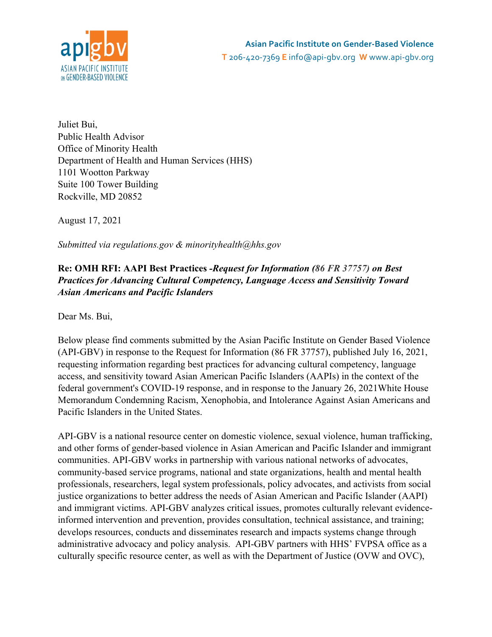

Juliet Bui, Public Health Advisor Office of Minority Health Department of Health and Human Services (HHS) 1101 Wootton Parkway Suite 100 Tower Building Rockville, MD 20852

August 17, 2021

*Submitted via regulations.gov & minorityhealth@hhs.gov*

## **Re: OMH RFI: AAPI Best Practices** *-Request for Information (86 FR 37757) on Best Practices for Advancing Cultural Competency, Language Access and Sensitivity Toward Asian Americans and Pacific Islanders*

Dear Ms. Bui,

Below please find comments submitted by the Asian Pacific Institute on Gender Based Violence (API-GBV) in response to the Request for Information (86 FR 37757), published July 16, 2021, requesting information regarding best practices for advancing cultural competency, language access, and sensitivity toward Asian American Pacific Islanders (AAPIs) in the context of the federal government's COVID-19 response, and in response to the January 26, 2021White House Memorandum Condemning Racism, Xenophobia, and Intolerance Against Asian Americans and Pacific Islanders in the United States.

API-GBV is a national resource center on domestic violence, sexual violence, human trafficking, and other forms of gender-based violence in Asian American and Pacific Islander and immigrant communities. API-GBV works in partnership with various national networks of advocates, community-based service programs, national and state organizations, health and mental health professionals, researchers, legal system professionals, policy advocates, and activists from social justice organizations to better address the needs of Asian American and Pacific Islander (AAPI) and immigrant victims. API-GBV analyzes critical issues, promotes culturally relevant evidenceinformed intervention and prevention, provides consultation, technical assistance, and training; develops resources, conducts and disseminates research and impacts systems change through administrative advocacy and policy analysis. API-GBV partners with HHS' FVPSA office as a culturally specific resource center, as well as with the Department of Justice (OVW and OVC),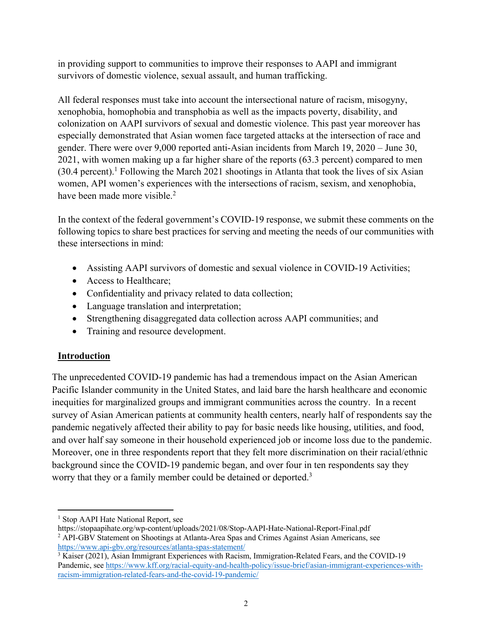in providing support to communities to improve their responses to AAPI and immigrant survivors of domestic violence, sexual assault, and human trafficking.

All federal responses must take into account the intersectional nature of racism, misogyny, xenophobia, homophobia and transphobia as well as the impacts poverty, disability, and colonization on AAPI survivors of sexual and domestic violence. This past year moreover has especially demonstrated that Asian women face targeted attacks at the intersection of race and gender. There were over 9,000 reported anti-Asian incidents from March 19, 2020 – June 30, 2021, with women making up a far higher share of the reports (63.3 percent) compared to men  $(30.4 \text{ percent})$ .<sup>1</sup> Following the March 2021 shootings in Atlanta that took the lives of six Asian women, API women's experiences with the intersections of racism, sexism, and xenophobia, have been made more visible.<sup>2</sup>

In the context of the federal government's COVID-19 response, we submit these comments on the following topics to share best practices for serving and meeting the needs of our communities with these intersections in mind:

- Assisting AAPI survivors of domestic and sexual violence in COVID-19 Activities;
- Access to Healthcare;
- Confidentiality and privacy related to data collection;
- Language translation and interpretation;
- Strengthening disaggregated data collection across AAPI communities; and
- Training and resource development.

# **Introduction**

The unprecedented COVID-19 pandemic has had a tremendous impact on the Asian American Pacific Islander community in the United States, and laid bare the harsh healthcare and economic inequities for marginalized groups and immigrant communities across the country. In a recent survey of Asian American patients at community health centers, nearly half of respondents say the pandemic negatively affected their ability to pay for basic needs like housing, utilities, and food, and over half say someone in their household experienced job or income loss due to the pandemic. Moreover, one in three respondents report that they felt more discrimination on their racial/ethnic background since the COVID-19 pandemic began, and over four in ten respondents say they worry that they or a family member could be detained or deported.<sup>3</sup>

<sup>&</sup>lt;sup>1</sup> Stop AAPI Hate National Report, see

https://stopaapihate.org/wp-content/uploads/2021/08/Stop-AAPI-Hate-National-Report-Final.pdf <sup>2</sup> API-GBV Statement on Shootings at Atlanta-Area Spas and Crimes Against Asian Americans, see https://www.api-gbv.org/resources/atlanta-spas-statement/

<sup>&</sup>lt;sup>3</sup> Kaiser (2021), Asian Immigrant Experiences with Racism, Immigration-Related Fears, and the COVID-19 Pandemic, see https://www.kff.org/racial-equity-and-health-policy/issue-brief/asian-immigrant-experiences-withracism-immigration-related-fears-and-the-covid-19-pandemic/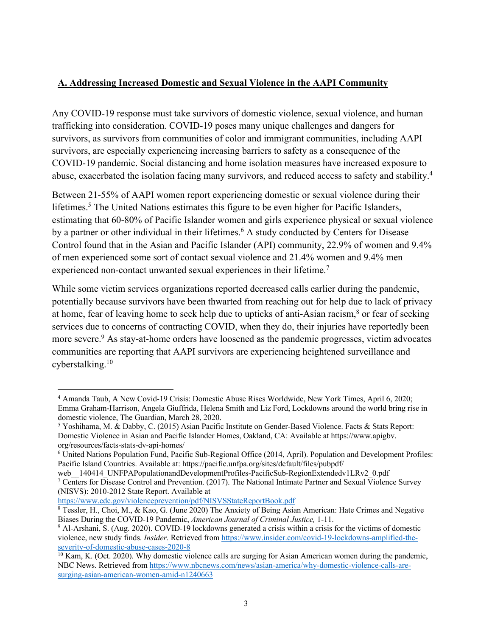## **A. Addressing Increased Domestic and Sexual Violence in the AAPI Community**

Any COVID-19 response must take survivors of domestic violence, sexual violence, and human trafficking into consideration. COVID-19 poses many unique challenges and dangers for survivors, as survivors from communities of color and immigrant communities, including AAPI survivors, are especially experiencing increasing barriers to safety as a consequence of the COVID-19 pandemic. Social distancing and home isolation measures have increased exposure to abuse, exacerbated the isolation facing many survivors, and reduced access to safety and stability.4

Between 21-55% of AAPI women report experiencing domestic or sexual violence during their lifetimes.<sup>5</sup> The United Nations estimates this figure to be even higher for Pacific Islanders, estimating that 60-80% of Pacific Islander women and girls experience physical or sexual violence by a partner or other individual in their lifetimes.<sup>6</sup> A study conducted by Centers for Disease Control found that in the Asian and Pacific Islander (API) community, 22.9% of women and 9.4% of men experienced some sort of contact sexual violence and 21.4% women and 9.4% men experienced non-contact unwanted sexual experiences in their lifetime.<sup>7</sup>

While some victim services organizations reported decreased calls earlier during the pandemic, potentially because survivors have been thwarted from reaching out for help due to lack of privacy at home, fear of leaving home to seek help due to upticks of anti-Asian racism,<sup>8</sup> or fear of seeking services due to concerns of contracting COVID, when they do, their injuries have reportedly been more severe.<sup>9</sup> As stay-at-home orders have loosened as the pandemic progresses, victim advocates communities are reporting that AAPI survivors are experiencing heightened surveillance and cyberstalking.10

https://www.cdc.gov/violenceprevention/pdf/NISVSStateReportBook.pdf

<sup>4</sup> Amanda Taub, A New Covid-19 Crisis: Domestic Abuse Rises Worldwide, New York Times, April 6, 2020; Emma Graham-Harrison, Angela Giuffrida, Helena Smith and Liz Ford, Lockdowns around the world bring rise in domestic violence, The Guardian, March 28, 2020.

<sup>5</sup> Yoshihama, M. & Dabby, C. (2015) Asian Pacific Institute on Gender-Based Violence. Facts & Stats Report: Domestic Violence in Asian and Pacific Islander Homes, Oakland, CA: Available at https://www.apigbv. org/resources/facts-stats-dv-api-homes/

<sup>6</sup> United Nations Population Fund, Pacific Sub-Regional Office (2014, April). Population and Development Profiles: Pacific Island Countries. Available at: https://pacific.unfpa.org/sites/default/files/pubpdf/

web 140414 UNFPAPopulationandDevelopmentProfiles-PacificSub-RegionExtendedv1LRv2 0.pdf

<sup>7</sup> Centers for Disease Control and Prevention. (2017). The National Intimate Partner and Sexual Violence Survey (NISVS): 2010-2012 State Report. Available at

<sup>&</sup>lt;sup>8</sup> Tessler, H., Choi, M., & Kao, G. (June 2020) The Anxiety of Being Asian American: Hate Crimes and Negative Biases During the COVID-19 Pandemic, *American Journal of Criminal Justice,* 1-11.

<sup>9</sup> Al-Arshani, S. (Aug. 2020). COVID-19 lockdowns generated a crisis within a crisis for the victims of domestic violence, new study finds. *Insider.* Retrieved from https://www.insider.com/covid-19-lockdowns-amplified-theseverity-of-domestic-abuse-cases-2020-8

 $10$  Kam, K. (Oct. 2020). Why domestic violence calls are surging for Asian American women during the pandemic, NBC News. Retrieved from https://www.nbcnews.com/news/asian-america/why-domestic-violence-calls-aresurging-asian-american-women-amid-n1240663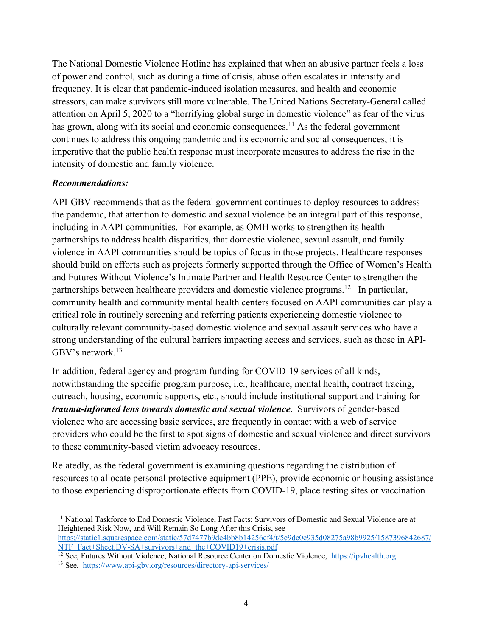The National Domestic Violence Hotline has explained that when an abusive partner feels a loss of power and control, such as during a time of crisis, abuse often escalates in intensity and frequency. It is clear that pandemic-induced isolation measures, and health and economic stressors, can make survivors still more vulnerable. The United Nations Secretary-General called attention on April 5, 2020 to a "horrifying global surge in domestic violence" as fear of the virus has grown, along with its social and economic consequences.<sup>11</sup> As the federal government continues to address this ongoing pandemic and its economic and social consequences, it is imperative that the public health response must incorporate measures to address the rise in the intensity of domestic and family violence.

## *Recommendations:*

API-GBV recommends that as the federal government continues to deploy resources to address the pandemic, that attention to domestic and sexual violence be an integral part of this response, including in AAPI communities. For example, as OMH works to strengthen its health partnerships to address health disparities, that domestic violence, sexual assault, and family violence in AAPI communities should be topics of focus in those projects. Healthcare responses should build on efforts such as projects formerly supported through the Office of Women's Health and Futures Without Violence's Intimate Partner and Health Resource Center to strengthen the partnerships between healthcare providers and domestic violence programs.<sup>12</sup> In particular, community health and community mental health centers focused on AAPI communities can play a critical role in routinely screening and referring patients experiencing domestic violence to culturally relevant community-based domestic violence and sexual assault services who have a strong understanding of the cultural barriers impacting access and services, such as those in API-GBV's network. 13

In addition, federal agency and program funding for COVID-19 services of all kinds, notwithstanding the specific program purpose, i.e., healthcare, mental health, contract tracing, outreach, housing, economic supports, etc., should include institutional support and training for *trauma-informed lens towards domestic and sexual violence*. Survivors of gender-based violence who are accessing basic services, are frequently in contact with a web of service providers who could be the first to spot signs of domestic and sexual violence and direct survivors to these community-based victim advocacy resources.

Relatedly, as the federal government is examining questions regarding the distribution of resources to allocate personal protective equipment (PPE), provide economic or housing assistance to those experiencing disproportionate effects from COVID-19, place testing sites or vaccination

<sup>&</sup>lt;sup>11</sup> National Taskforce to End Domestic Violence, Fast Facts: Survivors of Domestic and Sexual Violence are at Heightened Risk Now, and Will Remain So Long After this Crisis, see https://static1.squarespace.com/static/57d7477b9de4bb8b14256cf4/t/5e9dc0e935d08275a98b9925/1587396842687/ NTF+Fact+Sheet.DV-SA+survivors+and+the+COVID19+crisis.pdf

<sup>12</sup> See, Futures Without Violence, National Resource Center on Domestic Violence, https://ipvhealth.org

<sup>13</sup> See, https://www.api-gbv.org/resources/directory-api-services/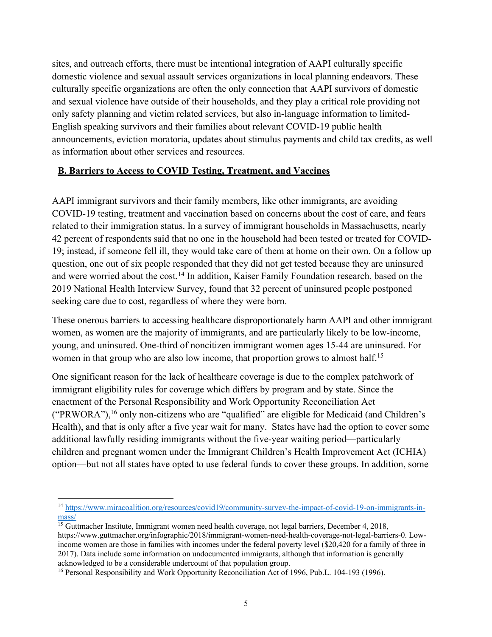sites, and outreach efforts, there must be intentional integration of AAPI culturally specific domestic violence and sexual assault services organizations in local planning endeavors. These culturally specific organizations are often the only connection that AAPI survivors of domestic and sexual violence have outside of their households, and they play a critical role providing not only safety planning and victim related services, but also in-language information to limited-English speaking survivors and their families about relevant COVID-19 public health announcements, eviction moratoria, updates about stimulus payments and child tax credits, as well as information about other services and resources.

## **B. Barriers to Access to COVID Testing, Treatment, and Vaccines**

AAPI immigrant survivors and their family members, like other immigrants, are avoiding COVID-19 testing, treatment and vaccination based on concerns about the cost of care, and fears related to their immigration status. In a survey of immigrant households in Massachusetts, nearly 42 percent of respondents said that no one in the household had been tested or treated for COVID-19; instead, if someone fell ill, they would take care of them at home on their own. On a follow up question, one out of six people responded that they did not get tested because they are uninsured and were worried about the cost.<sup>14</sup> In addition, Kaiser Family Foundation research, based on the 2019 National Health Interview Survey, found that 32 percent of uninsured people postponed seeking care due to cost, regardless of where they were born.

These onerous barriers to accessing healthcare disproportionately harm AAPI and other immigrant women, as women are the majority of immigrants, and are particularly likely to be low-income, young, and uninsured. One-third of noncitizen immigrant women ages 15-44 are uninsured. For women in that group who are also low income, that proportion grows to almost half.<sup>15</sup>

One significant reason for the lack of healthcare coverage is due to the complex patchwork of immigrant eligibility rules for coverage which differs by program and by state. Since the enactment of the Personal Responsibility and Work Opportunity Reconciliation Act ("PRWORA"),<sup>16</sup> only non-citizens who are "qualified" are eligible for Medicaid (and Children's Health), and that is only after a five year wait for many. States have had the option to cover some additional lawfully residing immigrants without the five-year waiting period—particularly children and pregnant women under the Immigrant Children's Health Improvement Act (ICHIA) option—but not all states have opted to use federal funds to cover these groups. In addition, some

<sup>&</sup>lt;sup>14</sup> https://www.miracoalition.org/resources/covid19/community-survey-the-impact-of-covid-19-on-immigrants-inmass/

 $\frac{15}{15}$  Guttmacher Institute, Immigrant women need health coverage, not legal barriers, December 4, 2018, https://www.guttmacher.org/infographic/2018/immigrant-women-need-health-coverage-not-legal-barriers-0. Lowincome women are those in families with incomes under the federal poverty level (\$20,420 for a family of three in 2017). Data include some information on undocumented immigrants, although that information is generally acknowledged to be a considerable undercount of that population group.

<sup>&</sup>lt;sup>16</sup> Personal Responsibility and Work Opportunity Reconciliation Act of 1996, Pub.L. 104-193 (1996).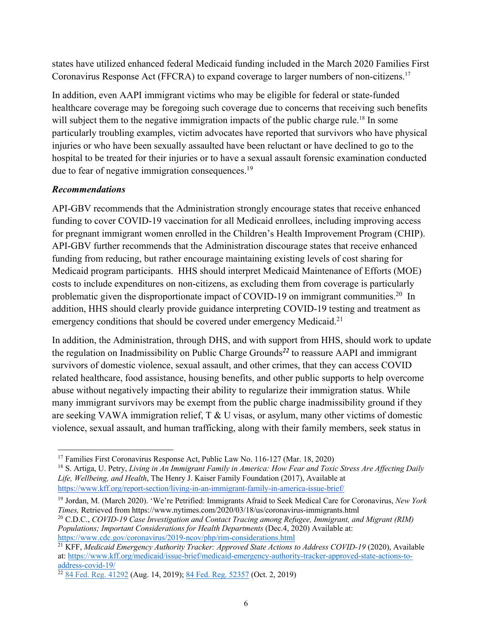states have utilized enhanced federal Medicaid funding included in the March 2020 Families First Coronavirus Response Act (FFCRA) to expand coverage to larger numbers of non-citizens.<sup>17</sup>

In addition, even AAPI immigrant victims who may be eligible for federal or state-funded healthcare coverage may be foregoing such coverage due to concerns that receiving such benefits will subject them to the negative immigration impacts of the public charge rule.<sup>18</sup> In some particularly troubling examples, victim advocates have reported that survivors who have physical injuries or who have been sexually assaulted have been reluctant or have declined to go to the hospital to be treated for their injuries or to have a sexual assault forensic examination conducted due to fear of negative immigration consequences.<sup>19</sup>

## *Recommendations*

API-GBV recommends that the Administration strongly encourage states that receive enhanced funding to cover COVID-19 vaccination for all Medicaid enrollees, including improving access for pregnant immigrant women enrolled in the Children's Health Improvement Program (CHIP). API-GBV further recommends that the Administration discourage states that receive enhanced funding from reducing, but rather encourage maintaining existing levels of cost sharing for Medicaid program participants. HHS should interpret Medicaid Maintenance of Efforts (MOE) costs to include expenditures on non-citizens, as excluding them from coverage is particularly problematic given the disproportionate impact of COVID-19 on immigrant communities.<sup>20</sup> In addition, HHS should clearly provide guidance interpreting COVID-19 testing and treatment as emergency conditions that should be covered under emergency Medicaid.<sup>21</sup>

In addition, the Administration, through DHS, and with support from HHS, should work to update the regulation on Inadmissibility on Public Charge Grounds*<sup>22</sup>* to reassure AAPI and immigrant survivors of domestic violence, sexual assault, and other crimes, that they can access COVID related healthcare, food assistance, housing benefits, and other public supports to help overcome abuse without negatively impacting their ability to regularize their immigration status. While many immigrant survivors may be exempt from the public charge inadmissibility ground if they are seeking VAWA immigration relief, T & U visas, or asylum, many other victims of domestic violence, sexual assault, and human trafficking, along with their family members, seek status in

<sup>17</sup> Families First Coronavirus Response Act, Public Law No. 116-127 (Mar. 18, 2020)

<sup>18</sup> S. Artiga, U. Petry, *Living in An Immigrant Family in America: How Fear and Toxic Stress Are Affecting Daily Life, Wellbeing, and Health*, The Henry J. Kaiser Family Foundation (2017), Available at https://www.kff.org/report-section/living-in-an-immigrant-family-in-america-issue-brief/

<sup>19</sup> Jordan, M. (March 2020). 'We're Petrified: Immigrants Afraid to Seek Medical Care for Coronavirus, *New York Times,* Retrieved from https://www.nytimes.com/2020/03/18/us/coronavirus-immigrants.html

<sup>20</sup> C.D.C., *COVID-19 Case Investigation and Contact Tracing among Refugee, Immigrant, and Migrant (RIM) Populations; Important Considerations for Health Departments* (Dec.4, 2020) Available at: https://www.cdc.gov/coronavirus/2019-ncov/php/rim-considerations.html

<sup>21</sup> KFF, *Medicaid Emergency Authority Tracker: Approved State Actions to Address COVID-19* (2020), Available at: https://www.kff.org/medicaid/issue-brief/medicaid-emergency-authority-tracker-approved-state-actions-toaddress-covid-19/

<sup>&</sup>lt;sup>22</sup> 84 Fed. Reg. 41292 (Aug. 14, 2019); 84 Fed. Reg. 52357 (Oct. 2, 2019)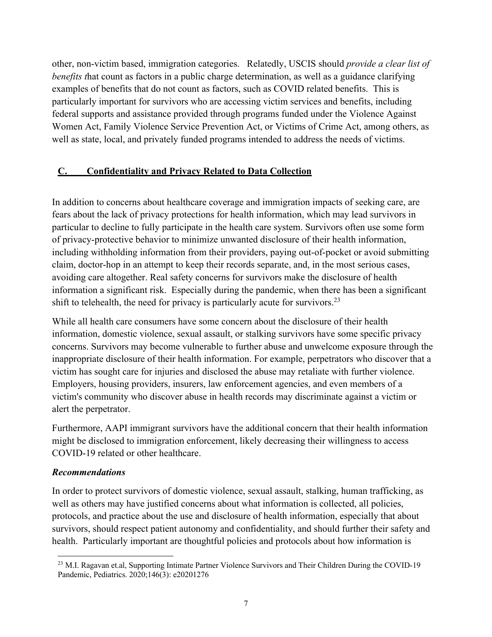other, non-victim based, immigration categories. Relatedly, USCIS should *provide a clear list of benefits that count as factors in a public charge determination, as well as a guidance clarifying* examples of benefits that do not count as factors, such as COVID related benefits. This is particularly important for survivors who are accessing victim services and benefits, including federal supports and assistance provided through programs funded under the Violence Against Women Act, Family Violence Service Prevention Act, or Victims of Crime Act, among others, as well as state, local, and privately funded programs intended to address the needs of victims.

## **C. Confidentiality and Privacy Related to Data Collection**

In addition to concerns about healthcare coverage and immigration impacts of seeking care, are fears about the lack of privacy protections for health information, which may lead survivors in particular to decline to fully participate in the health care system. Survivors often use some form of privacy-protective behavior to minimize unwanted disclosure of their health information, including withholding information from their providers, paying out-of-pocket or avoid submitting claim, doctor-hop in an attempt to keep their records separate, and, in the most serious cases, avoiding care altogether. Real safety concerns for survivors make the disclosure of health information a significant risk. Especially during the pandemic, when there has been a significant shift to telehealth, the need for privacy is particularly acute for survivors.<sup>23</sup>

While all health care consumers have some concern about the disclosure of their health information, domestic violence, sexual assault, or stalking survivors have some specific privacy concerns. Survivors may become vulnerable to further abuse and unwelcome exposure through the inappropriate disclosure of their health information. For example, perpetrators who discover that a victim has sought care for injuries and disclosed the abuse may retaliate with further violence. Employers, housing providers, insurers, law enforcement agencies, and even members of a victim's community who discover abuse in health records may discriminate against a victim or alert the perpetrator.

Furthermore, AAPI immigrant survivors have the additional concern that their health information might be disclosed to immigration enforcement, likely decreasing their willingness to access COVID-19 related or other healthcare.

#### *Recommendations*

In order to protect survivors of domestic violence, sexual assault, stalking, human trafficking, as well as others may have justified concerns about what information is collected, all policies, protocols, and practice about the use and disclosure of health information, especially that about survivors, should respect patient autonomy and confidentiality, and should further their safety and health. Particularly important are thoughtful policies and protocols about how information is

<sup>&</sup>lt;sup>23</sup> M.I. Ragavan et.al, Supporting Intimate Partner Violence Survivors and Their Children During the COVID-19 Pandemic, Pediatrics. 2020;146(3): e20201276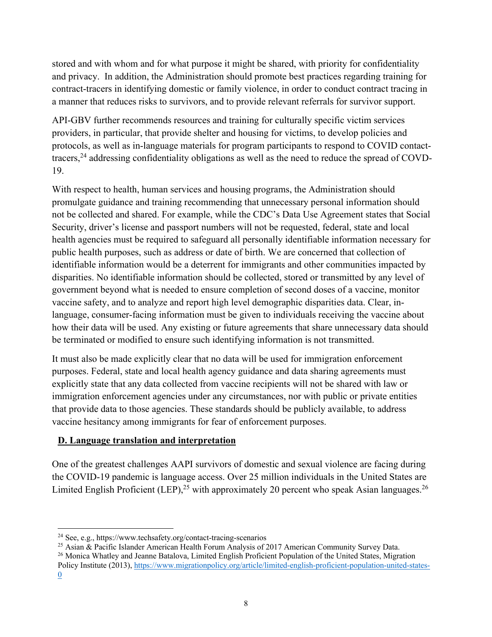stored and with whom and for what purpose it might be shared, with priority for confidentiality and privacy. In addition, the Administration should promote best practices regarding training for contract-tracers in identifying domestic or family violence, in order to conduct contract tracing in a manner that reduces risks to survivors, and to provide relevant referrals for survivor support.

API-GBV further recommends resources and training for culturally specific victim services providers, in particular, that provide shelter and housing for victims, to develop policies and protocols, as well as in-language materials for program participants to respond to COVID contacttracers,<sup>24</sup> addressing confidentiality obligations as well as the need to reduce the spread of COVD-19.

With respect to health, human services and housing programs, the Administration should promulgate guidance and training recommending that unnecessary personal information should not be collected and shared. For example, while the CDC's Data Use Agreement states that Social Security, driver's license and passport numbers will not be requested, federal, state and local health agencies must be required to safeguard all personally identifiable information necessary for public health purposes, such as address or date of birth. We are concerned that collection of identifiable information would be a deterrent for immigrants and other communities impacted by disparities. No identifiable information should be collected, stored or transmitted by any level of government beyond what is needed to ensure completion of second doses of a vaccine, monitor vaccine safety, and to analyze and report high level demographic disparities data. Clear, inlanguage, consumer-facing information must be given to individuals receiving the vaccine about how their data will be used. Any existing or future agreements that share unnecessary data should be terminated or modified to ensure such identifying information is not transmitted.

It must also be made explicitly clear that no data will be used for immigration enforcement purposes. Federal, state and local health agency guidance and data sharing agreements must explicitly state that any data collected from vaccine recipients will not be shared with law or immigration enforcement agencies under any circumstances, nor with public or private entities that provide data to those agencies. These standards should be publicly available, to address vaccine hesitancy among immigrants for fear of enforcement purposes.

## **D. Language translation and interpretation**

One of the greatest challenges AAPI survivors of domestic and sexual violence are facing during the COVID-19 pandemic is language access. Over 25 million individuals in the United States are Limited English Proficient (LEP),  $25$  with approximately 20 percent who speak Asian languages.  $26$ 

<sup>25</sup> Asian & Pacific Islander American Health Forum Analysis of 2017 American Community Survey Data.

<sup>26</sup> Monica Whatley and Jeanne Batalova, Limited English Proficient Population of the United States, Migration Policy Institute (2013), https://www.migrationpolicy.org/article/limited-english-proficient-population-united-states-0

<sup>24</sup> See, e.g., https://www.techsafety.org/contact-tracing-scenarios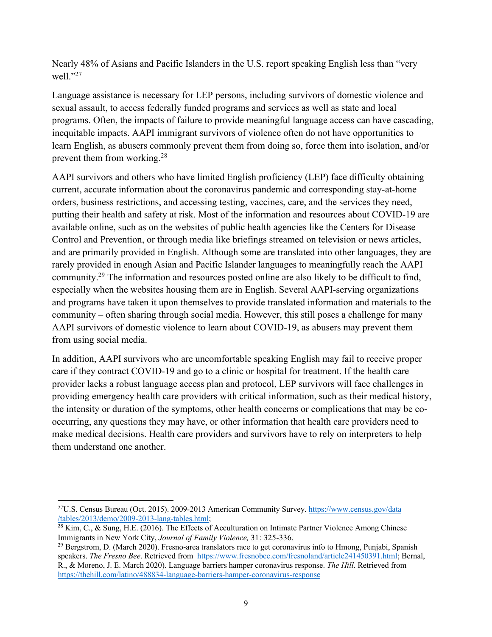Nearly 48% of Asians and Pacific Islanders in the U.S. report speaking English less than "very well."27

Language assistance is necessary for LEP persons, including survivors of domestic violence and sexual assault, to access federally funded programs and services as well as state and local programs. Often, the impacts of failure to provide meaningful language access can have cascading, inequitable impacts. AAPI immigrant survivors of violence often do not have opportunities to learn English, as abusers commonly prevent them from doing so, force them into isolation, and/or prevent them from working.28

AAPI survivors and others who have limited English proficiency (LEP) face difficulty obtaining current, accurate information about the coronavirus pandemic and corresponding stay-at-home orders, business restrictions, and accessing testing, vaccines, care, and the services they need, putting their health and safety at risk. Most of the information and resources about COVID-19 are available online, such as on the websites of public health agencies like the Centers for Disease Control and Prevention, or through media like briefings streamed on television or news articles, and are primarily provided in English. Although some are translated into other languages, they are rarely provided in enough Asian and Pacific Islander languages to meaningfully reach the AAPI community.29 The information and resources posted online are also likely to be difficult to find, especially when the websites housing them are in English. Several AAPI-serving organizations and programs have taken it upon themselves to provide translated information and materials to the community – often sharing through social media. However, this still poses a challenge for many AAPI survivors of domestic violence to learn about COVID-19, as abusers may prevent them from using social media.

In addition, AAPI survivors who are uncomfortable speaking English may fail to receive proper care if they contract COVID-19 and go to a clinic or hospital for treatment. If the health care provider lacks a robust language access plan and protocol, LEP survivors will face challenges in providing emergency health care providers with critical information, such as their medical history, the intensity or duration of the symptoms, other health concerns or complications that may be cooccurring, any questions they may have, or other information that health care providers need to make medical decisions. Health care providers and survivors have to rely on interpreters to help them understand one another.

<sup>&</sup>lt;sup>27</sup>U.S. Census Bureau (Oct. 2015). 2009-2013 American Community Survey. https://www.census.gov/data /tables/2013/demo/2009-2013-lang-tables.html;

 $28$  Kim, C., & Sung, H.E. (2016). The Effects of Acculturation on Intimate Partner Violence Among Chinese Immigrants in New York City, *Journal of Family Violence,* 31: 325-336.

<sup>&</sup>lt;sup>29</sup> Bergstrom, D. (March 2020). Fresno-area translators race to get coronavirus info to Hmong, Punjabi, Spanish speakers. *The Fresno Bee*. Retrieved from https://www.fresnobee.com/fresnoland/article241450391.html; Bernal, R., & Moreno, J. E. March 2020). Language barriers hamper coronavirus response. *The Hill*. Retrieved from https://thehill.com/latino/488834-language-barriers-hamper-coronavirus-response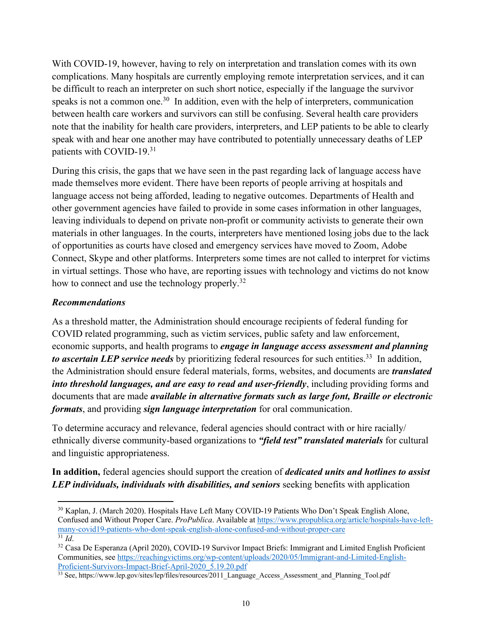With COVID-19, however, having to rely on interpretation and translation comes with its own complications. Many hospitals are currently employing remote interpretation services, and it can be difficult to reach an interpreter on such short notice, especially if the language the survivor speaks is not a common one.<sup>30</sup> In addition, even with the help of interpreters, communication between health care workers and survivors can still be confusing. Several health care providers note that the inability for health care providers, interpreters, and LEP patients to be able to clearly speak with and hear one another may have contributed to potentially unnecessary deaths of LEP patients with COVID-19.31

During this crisis, the gaps that we have seen in the past regarding lack of language access have made themselves more evident. There have been reports of people arriving at hospitals and language access not being afforded, leading to negative outcomes. Departments of Health and other government agencies have failed to provide in some cases information in other languages, leaving individuals to depend on private non-profit or community activists to generate their own materials in other languages. In the courts, interpreters have mentioned losing jobs due to the lack of opportunities as courts have closed and emergency services have moved to Zoom, Adobe Connect, Skype and other platforms. Interpreters some times are not called to interpret for victims in virtual settings. Those who have, are reporting issues with technology and victims do not know how to connect and use the technology properly.<sup>32</sup>

### *Recommendations*

As a threshold matter, the Administration should encourage recipients of federal funding for COVID related programming, such as victim services, public safety and law enforcement, economic supports, and health programs to *engage in language access assessment and planning to ascertain LEP service needs* by prioritizing federal resources for such entities.<sup>33</sup> In addition, the Administration should ensure federal materials, forms, websites, and documents are *translated into threshold languages, and are easy to read and user-friendly*, including providing forms and documents that are made *available in alternative formats such as large font, Braille or electronic formats*, and providing *sign language interpretation* for oral communication.

To determine accuracy and relevance, federal agencies should contract with or hire racially/ ethnically diverse community-based organizations to *"field test" translated materials* for cultural and linguistic appropriateness.

**In addition,** federal agencies should support the creation of *dedicated units and hotlines to assist LEP individuals, individuals with disabilities, and seniors* seeking benefits with application

<sup>30</sup> Kaplan, J. (March 2020). Hospitals Have Left Many COVID-19 Patients Who Don't Speak English Alone, Confused and Without Proper Care. *ProPublica*. Available at https://www.propublica.org/article/hospitals-have-leftmany-covid19-patients-who-dont-speak-english-alone-confused-and-without-proper-care  $\overline{\frac{31}{}}\,Id.$ 

<sup>32</sup> Casa De Esperanza (April 2020), COVID-19 Survivor Impact Briefs: Immigrant and Limited English Proficient Communities, see https://reachingvictims.org/wp-content/uploads/2020/05/Immigrant-and-Limited-English-Proficient-Survivors-Impact-Brief-April-2020\_5.19.20.pdf

<sup>&</sup>lt;sup>33</sup> See, https://www.lep.gov/sites/lep/files/resources/2011\_Language\_Access\_Assessment\_and\_Planning\_Tool.pdf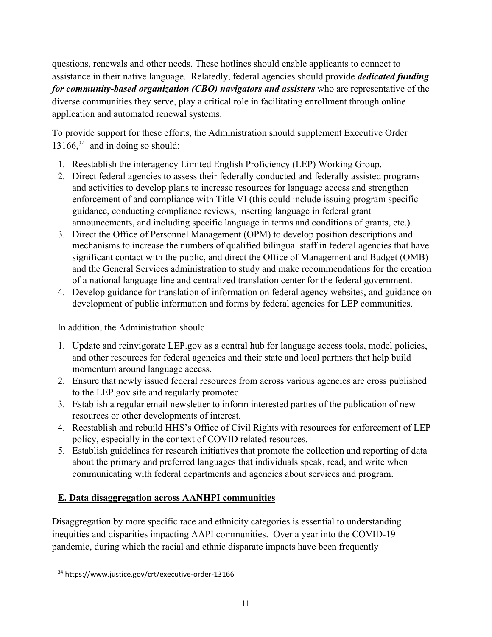questions, renewals and other needs. These hotlines should enable applicants to connect to assistance in their native language. Relatedly, federal agencies should provide *dedicated funding for community-based organization (CBO) navigators and assisters* who are representative of the diverse communities they serve, play a critical role in facilitating enrollment through online application and automated renewal systems.

To provide support for these efforts, the Administration should supplement Executive Order  $13166$ ,<sup>34</sup> and in doing so should:

- 1. Reestablish the interagency Limited English Proficiency (LEP) Working Group.
- 2. Direct federal agencies to assess their federally conducted and federally assisted programs and activities to develop plans to increase resources for language access and strengthen enforcement of and compliance with Title VI (this could include issuing program specific guidance, conducting compliance reviews, inserting language in federal grant announcements, and including specific language in terms and conditions of grants, etc.).
- 3. Direct the Office of Personnel Management (OPM) to develop position descriptions and mechanisms to increase the numbers of qualified bilingual staff in federal agencies that have significant contact with the public, and direct the Office of Management and Budget (OMB) and the General Services administration to study and make recommendations for the creation of a national language line and centralized translation center for the federal government.
- 4. Develop guidance for translation of information on federal agency websites, and guidance on development of public information and forms by federal agencies for LEP communities.

In addition, the Administration should

- 1. Update and reinvigorate LEP.gov as a central hub for language access tools, model policies, and other resources for federal agencies and their state and local partners that help build momentum around language access.
- 2. Ensure that newly issued federal resources from across various agencies are cross published to the LEP.gov site and regularly promoted.
- 3. Establish a regular email newsletter to inform interested parties of the publication of new resources or other developments of interest.
- 4. Reestablish and rebuild HHS's Office of Civil Rights with resources for enforcement of LEP policy, especially in the context of COVID related resources.
- 5. Establish guidelines for research initiatives that promote the collection and reporting of data about the primary and preferred languages that individuals speak, read, and write when communicating with federal departments and agencies about services and program.

# **E. Data disaggregation across AANHPI communities**

Disaggregation by more specific race and ethnicity categories is essential to understanding inequities and disparities impacting AAPI communities. Over a year into the COVID-19 pandemic, during which the racial and ethnic disparate impacts have been frequently

<sup>34</sup> https://www.justice.gov/crt/executive-order-13166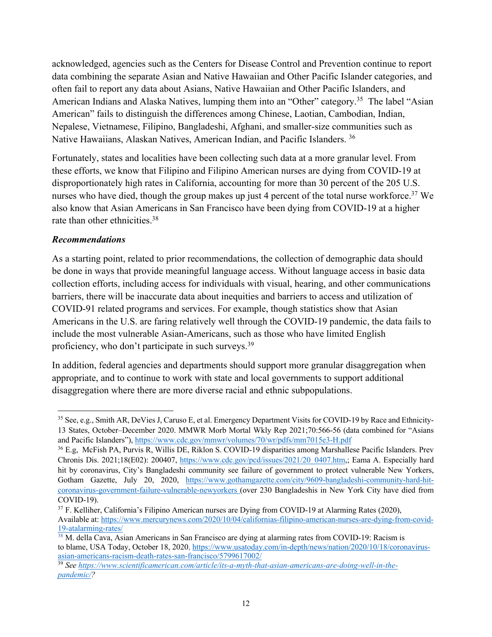acknowledged, agencies such as the Centers for Disease Control and Prevention continue to report data combining the separate Asian and Native Hawaiian and Other Pacific Islander categories, and often fail to report any data about Asians, Native Hawaiian and Other Pacific Islanders, and American Indians and Alaska Natives, lumping them into an "Other" category.<sup>35</sup> The label "Asian American" fails to distinguish the differences among Chinese, Laotian, Cambodian, Indian, Nepalese, Vietnamese, Filipino, Bangladeshi, Afghani, and smaller-size communities such as Native Hawaiians, Alaskan Natives, American Indian, and Pacific Islanders. 36

Fortunately, states and localities have been collecting such data at a more granular level. From these efforts, we know that Filipino and Filipino American nurses are dying from COVID-19 at disproportionately high rates in California, accounting for more than 30 percent of the 205 U.S. nurses who have died, though the group makes up just 4 percent of the total nurse workforce.<sup>37</sup> We also know that Asian Americans in San Francisco have been dying from COVID-19 at a higher rate than other ethnicities.<sup>38</sup>

## *Recommendations*

As a starting point, related to prior recommendations, the collection of demographic data should be done in ways that provide meaningful language access. Without language access in basic data collection efforts, including access for individuals with visual, hearing, and other communications barriers, there will be inaccurate data about inequities and barriers to access and utilization of COVID-91 related programs and services. For example, though statistics show that Asian Americans in the U.S. are faring relatively well through the COVID-19 pandemic, the data fails to include the most vulnerable Asian-Americans, such as those who have limited English proficiency, who don't participate in such surveys.<sup>39</sup>

In addition, federal agencies and departments should support more granular disaggregation when appropriate, and to continue to work with state and local governments to support additional disaggregation where there are more diverse racial and ethnic subpopulations.

<sup>35</sup> See, e.g., Smith AR, DeVies J, Caruso E, et al. Emergency Department Visits for COVID-19 by Race and Ethnicity-13 States, October–December 2020. MMWR Morb Mortal Wkly Rep 2021;70:566-56 (data combined for "Asians and Pacific Islanders"), https://www.cdc.gov/mmwr/volumes/70/wr/pdfs/mm7015e3-H.pdf

<sup>36</sup> E.g, McFish PA, Purvis R, Willis DE, Riklon S. COVID-19 disparities among Marshallese Pacific Islanders. Prev Chronis Dis. 2021;18(E02): 200407, https://www.cdc.gov/pcd/issues/2021/20\_0407.htm,; Eama A. Especially hard hit by coronavirus, City's Bangladeshi community see failure of government to protect vulnerable New Yorkers, Gotham Gazette, July 20, 2020, https://www.gothamgazette.com/city/9609-bangladeshi-community-hard-hitcoronavirus-government-failure-vulnerable-newyorkers (over 230 Bangladeshis in New York City have died from COVID-19).

 $37$  F. Kelliher, California's Filipino American nurses are Dying from COVID-19 at Alarming Rates (2020), Available at: https://www.mercurynews.com/2020/10/04/californias-filipino-american-nurses-are-dying-from-covid-19-atalarming-rates/

<sup>&</sup>lt;sup>38</sup> M. della Cava, Asian Americans in San Francisco are dying at alarming rates from COVID-19: Racism is to blame, USA Today, October 18, 2020, https://www.usatoday.com/in-depth/news/nation/2020/10/18/coronavirusasian-americans-racism-death-rates-san-francisco/5799617002/

<sup>39</sup> *See https://www.scientificamerican.com/article/its-a-myth-that-asian-americans-are-doing-well-in-thepandemic/?*